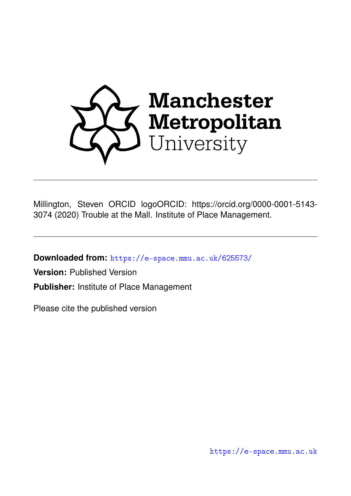

Millington, Steven ORCID logoORCID: https://orcid.org/0000-0001-5143- 3074 (2020) Trouble at the Mall. Institute of Place Management.

**Downloaded from:** <https://e-space.mmu.ac.uk/625573/>

**Version:** Published Version

**Publisher:** Institute of Place Management

Please cite the published version

<https://e-space.mmu.ac.uk>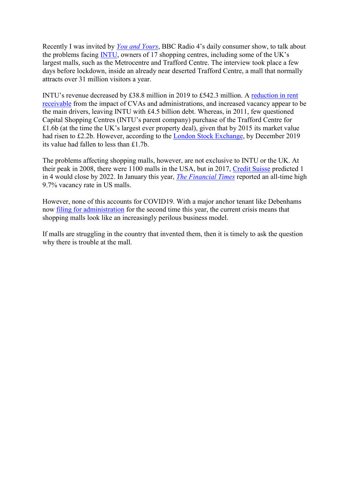Recently I was invited by *[You and Yours](https://www.bbc.co.uk/programmes/m000g4g4)*, BBC Radio 4's daily consumer show, to talk about the problems facing [INTU](https://www.intugroup.co.uk/en/), owners of 17 shopping centres, including some of the UK's largest malls, such as the Metrocentre and Trafford Centre. The interview took place a few days before lockdown, inside an already near deserted Trafford Centre, a mall that normally attracts over 31 million visitors a year.

INTU's revenue decreased by £38.8 million in 2019 to £542.3 million. A [reduction in rent](https://fashionunited.uk/news/business/shopping-centre-giants-hammerson-and-intu-see-rent-payments-fall-short/2020033048214)  [receivable](https://fashionunited.uk/news/business/shopping-centre-giants-hammerson-and-intu-see-rent-payments-fall-short/2020033048214) from the impact of CVAs and administrations, and increased vacancy appear to be the main drivers, leaving INTU with £4.5 billion debt. Whereas, in 2011, few questioned Capital Shopping Centres (INTU's parent company) purchase of the Trafford Centre for £1.6b (at the time the UK's largest ever property deal), given that by 2015 its market value had risen to £2.2b. However, according to the [London Stock Exchange,](https://www.londonstockexchange.com/exchange/news/market-news/market-news-detail/INTU/14457775.html).) by December 2019 its value had fallen to less than £1.7b.

The problems affecting shopping malls, however, are not exclusive to INTU or the UK. At their peak in 2008, there were 1100 malls in the USA, but in 2017, [Credit Suisse](https://www.washingtonpost.com/business/2019/11/22/malls-are-dying-only-these-ones-have-figured-out-secrets-success-internet-age/) predicted 1 in 4 would close by 2022. In January this year, *[The Financial Times](https://www.ft.com/content/700164de-30e8-11ea-a329-0bcf87a328f2)* reported an all-time high 9.7% vacancy rate in US malls.

However, none of this accounts for COVID19. With a major anchor tenant like Debenhams now [filing for administration](https://www.bbc.co.uk/news/business-52182199) for the second time this year, the current crisis means that shopping malls look like an increasingly perilous business model.

If malls are struggling in the country that invented them, then it is timely to ask the question why there is trouble at the mall.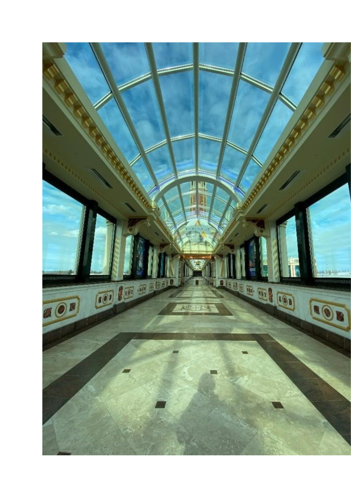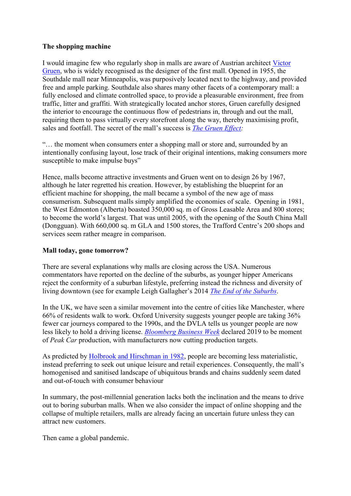## **The shopping machine**

I would imagine few who regularly shop in malls are aware of Austrian architect [Victor](https://ideas.ted.com/the-strange-surprisingly-radical-roots-of-the-shopping-mall/)  [Gruen,](https://ideas.ted.com/the-strange-surprisingly-radical-roots-of-the-shopping-mall/) who is widely recognised as the designer of the first mall. Opened in 1955, the Southdale mall near Minneapolis, was purposively located next to the highway, and provided free and ample parking. Southdale also shares many other facets of a contemporary mall: a fully enclosed and climate controlled space, to provide a pleasurable environment, free from traffic, litter and graffiti. With strategically located anchor stores, Gruen carefully designed the interior to encourage the continuous flow of pedestrians in, through and out the mall, requiring them to pass virtually every storefront along the way, thereby maximising profit, sales and footfall. The secret of the mall's success is *[The Gruen Effect:](https://brobible.com/culture/article/how-ikea-tricks-impulsively-buying-more/)*

"… the moment when consumers enter a shopping mall or store and, surrounded by an intentionally confusing layout, lose track of their original intentions, making consumers more susceptible to make impulse buys"

Hence, malls become attractive investments and Gruen went on to design 26 by 1967, although he later regretted his creation. However, by establishing the blueprint for an efficient machine for shopping, the mall became a symbol of the new age of mass consumerism. Subsequent malls simply amplified the economies of scale. Opening in 1981, the West Edmonton (Alberta) boasted 350,000 sq. m of Gross Leasable Area and 800 stores; to become the world's largest. That was until 2005, with the opening of the South China Mall (Dongguan). With 660,000 sq. m GLA and 1500 stores, the Trafford Centre's 200 shops and services seem rather meagre in comparison.

#### **Mall today, gone tomorrow?**

There are several explanations why malls are closing across the USA. Numerous commentators have reported on the decline of the suburbs, as younger hipper Americans reject the conformity of a suburban lifestyle, preferring instead the richness and diversity of living downtown (see for example Leigh Gallagher's 2014 *[The End of the Suburbs](https://www.penguinrandomhouse.com/books/310825/the-end-of-the-suburbs-by-leigh-gallagher/)*.

In the UK, we have seen a similar movement into the centre of cities like Manchester, where 66% of residents walk to work. Oxford University suggests younger people are taking 36% fewer car journeys compared to the 1990s, and the DVLA tells us younger people are now less likely to hold a driving license. *[Bloomberg Business Week](https://www.bloomberg.com/news/features/2019-02-28/this-is-what-peak-car-looks-like)* declared 2019 to be moment of *Peak Car* production, with manufacturers now cutting production targets.

As predicted by [Holbrook and Hirschman in 1982,](file:///C:/Users/99900710/AppData/Local/Temp/(https:/www.jstor.org/stable/2489122%3fseq=1%23metadata_info_tab_contents) people are becoming less materialistic, instead preferring to seek out unique leisure and retail experiences. Consequently, the mall's homogenised and sanitised landscape of ubiquitous brands and chains suddenly seem dated and out-of-touch with consumer behaviour

In summary, the post-millennial generation lacks both the inclination and the means to drive out to boring suburban malls. When we also consider the impact of online shopping and the collapse of multiple retailers, malls are already facing an uncertain future unless they can attract new customers.

Then came a global pandemic.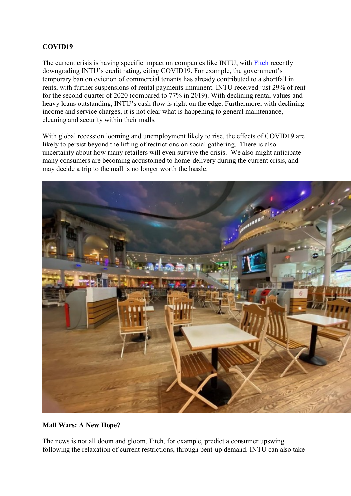# **COVID19**

The current crisis is having specific impact on companies like INTU, with [Fitch](https://www.fitchratings.com/research/structured-finance/correction-fitch-downgrades-intu-metrocentre-finance-plc-and-trafford-centre-finance-limited-06-04-2020) recently downgrading INTU's credit rating, citing COVID19. For example, the government's temporary ban on eviction of commercial tenants has already contributed to a shortfall in rents, with further suspensions of rental payments imminent. INTU received just 29% of rent for the second quarter of 2020 (compared to 77% in 2019). With declining rental values and heavy loans outstanding, INTU's cash flow is right on the edge. Furthermore, with declining income and service charges, it is not clear what is happening to general maintenance, cleaning and security within their malls.

With global recession looming and unemployment likely to rise, the effects of COVID19 are likely to persist beyond the lifting of restrictions on social gathering. There is also uncertainty about how many retailers will even survive the crisis. We also might anticipate many consumers are becoming accustomed to home-delivery during the current crisis, and may decide a trip to the mall is no longer worth the hassle.



## **Mall Wars: A New Hope?**

The news is not all doom and gloom. Fitch, for example, predict a consumer upswing following the relaxation of current restrictions, through pent-up demand. INTU can also take